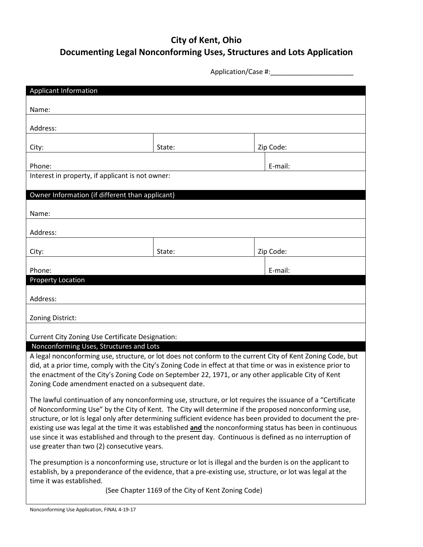## **City of Kent, Ohio Documenting Legal Nonconforming Uses, Structures and Lots Application**

Application/Case #:\_\_\_\_\_\_\_\_\_\_\_\_\_\_\_\_\_\_\_\_\_\_

| <b>Applicant Information</b>                                                                                                                                                                                                                                                                                                                                                                                                                                                                                                                                                                                 |        |  |           |  |
|--------------------------------------------------------------------------------------------------------------------------------------------------------------------------------------------------------------------------------------------------------------------------------------------------------------------------------------------------------------------------------------------------------------------------------------------------------------------------------------------------------------------------------------------------------------------------------------------------------------|--------|--|-----------|--|
|                                                                                                                                                                                                                                                                                                                                                                                                                                                                                                                                                                                                              |        |  |           |  |
| Name:                                                                                                                                                                                                                                                                                                                                                                                                                                                                                                                                                                                                        |        |  |           |  |
| Address:                                                                                                                                                                                                                                                                                                                                                                                                                                                                                                                                                                                                     |        |  |           |  |
|                                                                                                                                                                                                                                                                                                                                                                                                                                                                                                                                                                                                              |        |  |           |  |
| City:                                                                                                                                                                                                                                                                                                                                                                                                                                                                                                                                                                                                        | State: |  | Zip Code: |  |
| Phone:                                                                                                                                                                                                                                                                                                                                                                                                                                                                                                                                                                                                       |        |  | E-mail:   |  |
| Interest in property, if applicant is not owner:                                                                                                                                                                                                                                                                                                                                                                                                                                                                                                                                                             |        |  |           |  |
| Owner Information (if different than applicant)                                                                                                                                                                                                                                                                                                                                                                                                                                                                                                                                                              |        |  |           |  |
|                                                                                                                                                                                                                                                                                                                                                                                                                                                                                                                                                                                                              |        |  |           |  |
| Name:                                                                                                                                                                                                                                                                                                                                                                                                                                                                                                                                                                                                        |        |  |           |  |
| Address:                                                                                                                                                                                                                                                                                                                                                                                                                                                                                                                                                                                                     |        |  |           |  |
|                                                                                                                                                                                                                                                                                                                                                                                                                                                                                                                                                                                                              |        |  |           |  |
| City:                                                                                                                                                                                                                                                                                                                                                                                                                                                                                                                                                                                                        | State: |  | Zip Code: |  |
| Phone:                                                                                                                                                                                                                                                                                                                                                                                                                                                                                                                                                                                                       |        |  | E-mail:   |  |
| <b>Property Location</b>                                                                                                                                                                                                                                                                                                                                                                                                                                                                                                                                                                                     |        |  |           |  |
| Address:                                                                                                                                                                                                                                                                                                                                                                                                                                                                                                                                                                                                     |        |  |           |  |
|                                                                                                                                                                                                                                                                                                                                                                                                                                                                                                                                                                                                              |        |  |           |  |
| Zoning District:                                                                                                                                                                                                                                                                                                                                                                                                                                                                                                                                                                                             |        |  |           |  |
| Current City Zoning Use Certificate Designation:                                                                                                                                                                                                                                                                                                                                                                                                                                                                                                                                                             |        |  |           |  |
| Nonconforming Uses, Structures and Lots<br>A legal nonconforming use, structure, or lot does not conform to the current City of Kent Zoning Code, but<br>did, at a prior time, comply with the City's Zoning Code in effect at that time or was in existence prior to<br>the enactment of the City's Zoning Code on September 22, 1971, or any other applicable City of Kent<br>Zoning Code amendment enacted on a subsequent date.                                                                                                                                                                          |        |  |           |  |
| The lawful continuation of any nonconforming use, structure, or lot requires the issuance of a "Certificate<br>of Nonconforming Use" by the City of Kent. The City will determine if the proposed nonconforming use,<br>structure, or lot is legal only after determining sufficient evidence has been provided to document the pre-<br>existing use was legal at the time it was established and the nonconforming status has been in continuous<br>use since it was established and through to the present day. Continuous is defined as no interruption of<br>use greater than two (2) consecutive years. |        |  |           |  |
| The presumption is a nonconforming use, structure or lot is illegal and the burden is on the applicant to<br>establish, by a preponderance of the evidence, that a pre-existing use, structure, or lot was legal at the<br>time it was established.                                                                                                                                                                                                                                                                                                                                                          |        |  |           |  |

(See Chapter 1169 of the City of Kent Zoning Code)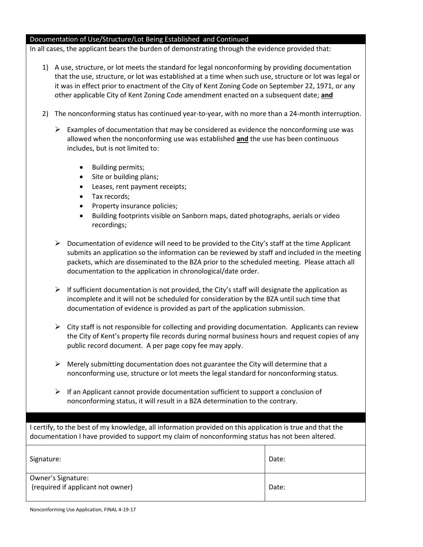## Documentation of Use/Structure/Lot Being Established and Continued

In all cases, the applicant bears the burden of demonstrating through the evidence provided that:

- 1) A use, structure, or lot meets the standard for legal nonconforming by providing documentation that the use, structure, or lot was established at a time when such use, structure or lot was legal or it was in effect prior to enactment of the City of Kent Zoning Code on September 22, 1971, or any other applicable City of Kent Zoning Code amendment enacted on a subsequent date; **and**
- 2) The nonconforming status has continued year-to-year, with no more than a 24-month interruption.
	- $\triangleright$  Examples of documentation that may be considered as evidence the nonconforming use was allowed when the nonconforming use was established **and** the use has been continuous includes, but is not limited to:
		- Building permits;
		- Site or building plans;
		- Leases, rent payment receipts;
		- Tax records;
		- Property insurance policies;
		- Building footprints visible on Sanborn maps, dated photographs, aerials or video recordings;
	- $\triangleright$  Documentation of evidence will need to be provided to the City's staff at the time Applicant submits an application so the information can be reviewed by staff and included in the meeting packets, which are disseminated to the BZA prior to the scheduled meeting. Please attach all documentation to the application in chronological/date order.
	- $\triangleright$  If sufficient documentation is not provided, the City's staff will designate the application as incomplete and it will not be scheduled for consideration by the BZA until such time that documentation of evidence is provided as part of the application submission.
	- $\triangleright$  City staff is not responsible for collecting and providing documentation. Applicants can review the City of Kent's property file records during normal business hours and request copies of any public record document. A per page copy fee may apply.
	- $\triangleright$  Merely submitting documentation does not guarantee the City will determine that a nonconforming use, structure or lot meets the legal standard for nonconforming status.
	- $\triangleright$  If an Applicant cannot provide documentation sufficient to support a conclusion of nonconforming status, it will result in a BZA determination to the contrary.

I certify, to the best of my knowledge, all information provided on this application is true and that the documentation I have provided to support my claim of nonconforming status has not been altered.

| Signature:                                              | Date: |
|---------------------------------------------------------|-------|
| Owner's Signature:<br>(required if applicant not owner) | Date: |